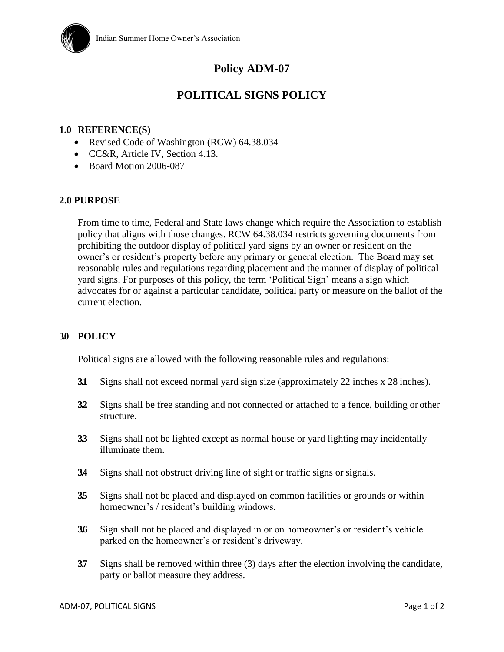

# **Policy ADM-07**

## **POLITICAL SIGNS POLICY**

### **1.0 REFERENCE(S)**

- Revised Code of Washington (RCW) 64.38.034
- CC&R, Article IV, Section 4.13.
- Board Motion 2006-087

#### **2.0 PURPOSE**

From time to time, Federal and State laws change which require the Association to establish policy that aligns with those changes. RCW 64.38.034 restricts governing documents from prohibiting the outdoor display of political yard signs by an owner or resident on the owner's or resident's property before any primary or general election. The Board may set reasonable rules and regulations regarding placement and the manner of display of political yard signs. For purposes of this policy, the term 'Political Sign' means a sign which advocates for or against a particular candidate, political party or measure on the ballot of the current election.

#### **3.0 POLICY**

Political signs are allowed with the following reasonable rules and regulations:

- **3.1** Signs shall not exceed normal yard sign size (approximately 22 inches x 28 inches).
- **3.2** Signs shall be free standing and not connected or attached to a fence, building or other structure.
- **3.3** Signs shall not be lighted except as normal house or yard lighting may incidentally illuminate them.
- **3.4** Signs shall not obstruct driving line of sight or traffic signs or signals.
- **3.5** Signs shall not be placed and displayed on common facilities or grounds or within homeowner's / resident's building windows.
- **3.6** Sign shall not be placed and displayed in or on homeowner's or resident's vehicle parked on the homeowner's or resident's driveway.
- **3.7** Signs shall be removed within three (3) days after the election involving the candidate, party or ballot measure they address.